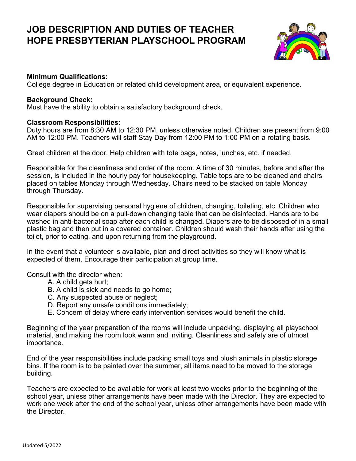# **JOB DESCRIPTION AND DUTIES OF TEACHER HOPE PRESBYTERIAN PLAYSCHOOL PROGRAM**



## **Minimum Qualifications:**

College degree in Education or related child development area, or equivalent experience.

#### **Background Check:**

Must have the ability to obtain a satisfactory background check.

### **Classroom Responsibilities:**

Duty hours are from 8:30 AM to 12:30 PM, unless otherwise noted. Children are present from 9:00 AM to 12:00 PM. Teachers will staff Stay Day from 12:00 PM to 1:00 PM on a rotating basis.

Greet children at the door. Help children with tote bags, notes, lunches, etc. if needed.

Responsible for the cleanliness and order of the room. A time of 30 minutes, before and after the session, is included in the hourly pay for housekeeping. Table tops are to be cleaned and chairs placed on tables Monday through Wednesday. Chairs need to be stacked on table Monday through Thursday.

Responsible for supervising personal hygiene of children, changing, toileting, etc. Children who wear diapers should be on a pull-down changing table that can be disinfected. Hands are to be washed in anti-bacterial soap after each child is changed. Diapers are to be disposed of in a small plastic bag and then put in a covered container. Children should wash their hands after using the toilet, prior to eating, and upon returning from the playground.

In the event that a volunteer is available, plan and direct activities so they will know what is expected of them. Encourage their participation at group time.

Consult with the director when:

- A. A child gets hurt;
- B. A child is sick and needs to go home;
- C. Any suspected abuse or neglect;
- D. Report any unsafe conditions immediately;
- E. Concern of delay where early intervention services would benefit the child.

Beginning of the year preparation of the rooms will include unpacking, displaying all playschool material, and making the room look warm and inviting. Cleanliness and safety are of utmost importance.

End of the year responsibilities include packing small toys and plush animals in plastic storage bins. If the room is to be painted over the summer, all items need to be moved to the storage building.

Teachers are expected to be available for work at least two weeks prior to the beginning of the school year, unless other arrangements have been made with the Director. They are expected to work one week after the end of the school year, unless other arrangements have been made with the Director.